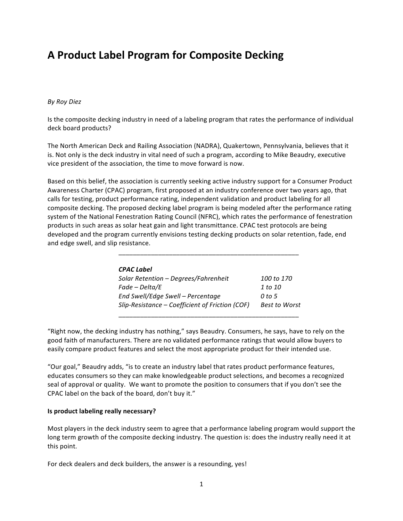# **A Product Label Program for Composite Decking**

#### *By Roy Diez*

Is the composite decking industry in need of a labeling program that rates the performance of individual deck board products?

The North American Deck and Railing Association (NADRA), Quakertown, Pennsylvania, believes that it is. Not only is the deck industry in vital need of such a program, according to Mike Beaudry, executive vice president of the association, the time to move forward is now.

Based on this belief, the association is currently seeking active industry support for a Consumer Product Awareness Charter (CPAC) program, first proposed at an industry conference over two years ago, that calls for testing, product performance rating, independent validation and product labeling for all composite decking. The proposed decking label program is being modeled after the performance rating system of the National Fenestration Rating Council (NFRC), which rates the performance of fenestration products in such areas as solar heat gain and light transmittance. CPAC test protocols are being developed and the program currently envisions testing decking products on solar retention, fade, end and edge swell, and slip resistance.

| <b>CPAC Label</b>                               |                      |
|-------------------------------------------------|----------------------|
| Solar Retention - Degrees/Fahrenheit            | 100 to 170           |
| Fade - Delta/E                                  | 1 to 10              |
| End Swell/Edge Swell - Percentage               | 0 to 5               |
| Slip-Resistance - Coefficient of Friction (COF) | <b>Best to Worst</b> |
|                                                 |                      |

\_\_\_\_\_\_\_\_\_\_\_\_\_\_\_\_\_\_\_\_\_\_\_\_\_\_\_\_\_\_\_\_\_\_\_\_\_\_\_\_\_\_\_\_\_\_\_\_\_\_

"Right now, the decking industry has nothing," says Beaudry. Consumers, he says, have to rely on the good faith of manufacturers. There are no validated performance ratings that would allow buyers to easily compare product features and select the most appropriate product for their intended use.

"Our goal," Beaudry adds, "is to create an industry label that rates product performance features, educates consumers so they can make knowledgeable product selections, and becomes a recognized seal of approval or quality. We want to promote the position to consumers that if you don't see the CPAC label on the back of the board, don't buy it."

#### **Is product labeling really necessary?**

Most players in the deck industry seem to agree that a performance labeling program would support the long term growth of the composite decking industry. The question is: does the industry really need it at this point.

For deck dealers and deck builders, the answer is a resounding, yes!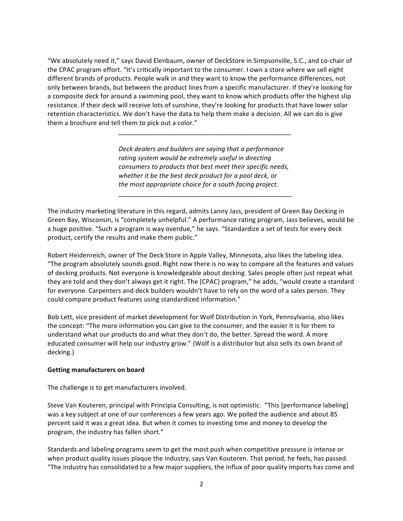"We absolutely need it," says David Elenbaum, owner of DeckStore in Simpsonville, S.C., and co-chair of the CPAC program effort. "It's critically important to the consumer. I own a store where we sell eight different brands of products. People walk in and they want to know the performance differences, not only between brands, but between the product lines from a specific manufacturer. If they're looking for a composite deck for around a swimming pool, they want to know which products offer the highest slip resistance. If their deck will receive lots of sunshine, they're looking for products that have lower solar retention characteristics. We don't have the data to help them make a decision. All we can do is give them a brochure and tell them to pick out a color."

> *Deck dealers and builders are saying that a performance* rating system would be extremely useful in directing *consumers to products that best meet their specific needs,* whether it be the best deck product for a pool deck, or *the most appropriate choice for a south facing project.*

\_\_\_\_\_\_\_\_\_\_\_\_\_\_\_\_\_\_\_\_\_\_\_\_\_\_\_\_\_\_\_\_\_\_\_\_\_\_\_\_\_\_\_\_\_\_\_\_

*\_\_\_\_\_\_\_\_\_\_\_\_\_\_\_\_\_\_\_\_\_\_\_\_\_\_\_\_\_\_\_\_\_\_\_\_\_\_\_\_\_\_\_\_\_\_\_\_*

The industry marketing literature in this regard, admits Lanny Jass, president of Green Bay Decking in Green Bay, Wisconsin, is "completely unhelpful." A performance rating program, Jass believes, would be a huge positive. "Such a program is way overdue," he says. "Standardize a set of tests for every deck product, certify the results and make them public."

Robert Heidenreich, owner of The Deck Store in Apple Valley, Minnesota, also likes the labeling idea. "The program absolutely sounds good. Right now there is no way to compare all the features and values of decking products. Not everyone is knowledgeable about decking. Sales people often just repeat what they are told and they don't always get it right. The [CPAC} program," he adds, "would create a standard for everyone. Carpenters and deck builders wouldn't have to rely on the word of a sales person. They could compare product features using standardized information."

Bob Lett, vice president of market development for Wolf Distribution in York, Pennsylvania, also likes the concept: "The more information you can give to the consumer, and the easier it is for them to understand what our products do and what they don't do, the better. Spread the word. A more educated consumer will help our industry grow." (Wolf is a distributor but also sells its own brand of decking.)

#### **Getting manufacturers on board**

The challenge is to get manufacturers involved.

Steve Van Kouteren, principal with Principia Consulting, is not optimistic. "This [performance labeling] was a key subject at one of our conferences a few years ago. We polled the audience and about 85 percent said it was a great idea. But when it comes to investing time and money to develop the program, the industry has fallen short."

Standards and labeling programs seem to get the most push when competitive pressure is intense or when product quality issues plaque the industry, says Van Kouteren. That period, he feels, has passed. "The industry has consolidated to a few major suppliers, the influx of poor quality imports has come and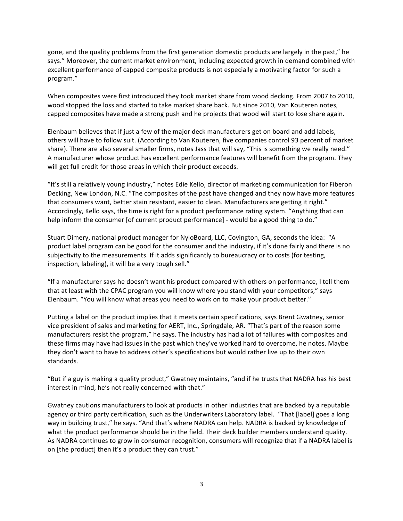gone, and the quality problems from the first generation domestic products are largely in the past," he says." Moreover, the current market environment, including expected growth in demand combined with excellent performance of capped composite products is not especially a motivating factor for such a program."

When composites were first introduced they took market share from wood decking. From 2007 to 2010, wood stopped the loss and started to take market share back. But since 2010, Van Kouteren notes, capped composites have made a strong push and he projects that wood will start to lose share again.

Elenbaum believes that if just a few of the major deck manufacturers get on board and add labels, others will have to follow suit. (According to Van Kouteren, five companies control 93 percent of market share). There are also several smaller firms, notes Jass that will say, "This is something we really need." A manufacturer whose product has excellent performance features will benefit from the program. They will get full credit for those areas in which their product exceeds.

"It's still a relatively young industry," notes Edie Kello, director of marketing communication for Fiberon Decking, New London, N.C. "The composites of the past have changed and they now have more features that consumers want, better stain resistant, easier to clean. Manufacturers are getting it right." Accordingly, Kello says, the time is right for a product performance rating system. "Anything that can help inform the consumer [of current product performance] - would be a good thing to do."

Stuart Dimery, national product manager for NyloBoard, LLC, Covington, GA, seconds the idea: "A product label program can be good for the consumer and the industry, if it's done fairly and there is no subjectivity to the measurements. If it adds significantly to bureaucracy or to costs (for testing, inspection, labeling), it will be a very tough sell."

"If a manufacturer says he doesn't want his product compared with others on performance, I tell them that at least with the CPAC program you will know where you stand with your competitors," says Elenbaum. "You will know what areas you need to work on to make your product better."

Putting a label on the product implies that it meets certain specifications, says Brent Gwatney, senior vice president of sales and marketing for AERT, Inc., Springdale, AR. "That's part of the reason some manufacturers resist the program," he says. The industry has had a lot of failures with composites and these firms may have had issues in the past which they've worked hard to overcome, he notes. Maybe they don't want to have to address other's specifications but would rather live up to their own standards. 

"But if a guy is making a quality product," Gwatney maintains, "and if he trusts that NADRA has his best interest in mind, he's not really concerned with that."

Gwatney cautions manufacturers to look at products in other industries that are backed by a reputable agency or third party certification, such as the Underwriters Laboratory label. "That [label] goes a long way in building trust," he says. "And that's where NADRA can help. NADRA is backed by knowledge of what the product performance should be in the field. Their deck builder members understand quality. As NADRA continues to grow in consumer recognition, consumers will recognize that if a NADRA label is on [the product] then it's a product they can trust."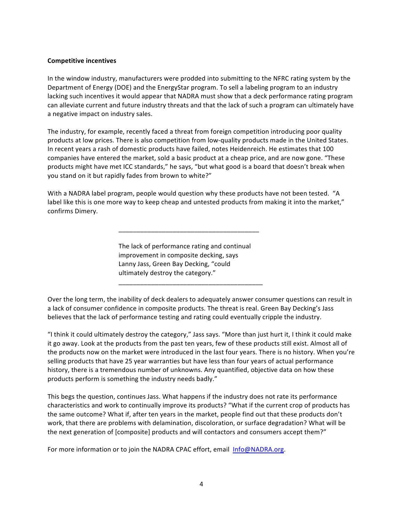#### **Competitive incentives**

In the window industry, manufacturers were prodded into submitting to the NFRC rating system by the Department of Energy (DOE) and the EnergyStar program. To sell a labeling program to an industry lacking such incentives it would appear that NADRA must show that a deck performance rating program can alleviate current and future industry threats and that the lack of such a program can ultimately have a negative impact on industry sales.

The industry, for example, recently faced a threat from foreign competition introducing poor quality products at low prices. There is also competition from low-quality products made in the United States. In recent years a rash of domestic products have failed, notes Heidenreich. He estimates that 100 companies have entered the market, sold a basic product at a cheap price, and are now gone. "These products might have met ICC standards," he says, "but what good is a board that doesn't break when you stand on it but rapidly fades from brown to white?"

With a NADRA label program, people would question why these products have not been tested. "A label like this is one more way to keep cheap and untested products from making it into the market," confirms Dimery.

> The lack of performance rating and continual improvement in composite decking, says Lanny Jass, Green Bay Decking, "could ultimately destroy the category."

\_\_\_\_\_\_\_\_\_\_\_\_\_\_\_\_\_\_\_\_\_\_\_\_\_\_\_\_\_\_\_\_\_\_\_\_\_\_\_\_

\_\_\_\_\_\_\_\_\_\_\_\_\_\_\_\_\_\_\_\_\_\_\_\_\_\_\_\_\_\_\_\_\_\_\_\_\_\_\_

Over the long term, the inability of deck dealers to adequately answer consumer questions can result in a lack of consumer confidence in composite products. The threat is real. Green Bay Decking's Jass believes that the lack of performance testing and rating could eventually cripple the industry.

"I think it could ultimately destroy the category," Jass says. "More than just hurt it, I think it could make it go away. Look at the products from the past ten years, few of these products still exist. Almost all of the products now on the market were introduced in the last four years. There is no history. When you're selling products that have 25 year warranties but have less than four years of actual performance history, there is a tremendous number of unknowns. Any quantified, objective data on how these products perform is something the industry needs badly."

This begs the question, continues Jass. What happens if the industry does not rate its performance characteristics and work to continually improve its products? "What if the current crop of products has the same outcome? What if, after ten years in the market, people find out that these products don't work, that there are problems with delamination, discoloration, or surface degradation? What will be the next generation of [composite] products and will contactors and consumers accept them?"

For more information or to join the NADRA CPAC effort, email Info@NADRA.org.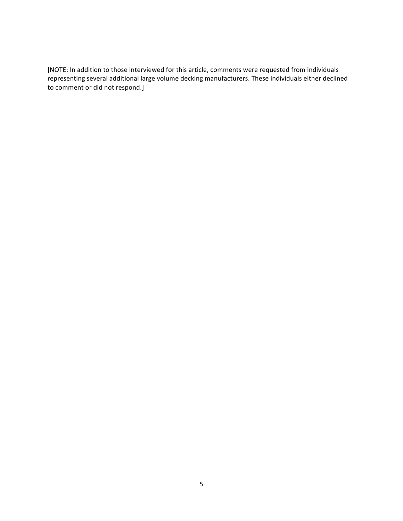[NOTE: In addition to those interviewed for this article, comments were requested from individuals representing several additional large volume decking manufacturers. These individuals either declined to comment or did not respond.]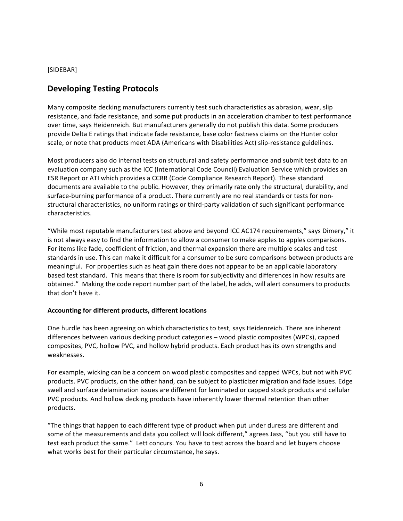# [SIDEBAR]

# **Developing Testing Protocols**

Many composite decking manufacturers currently test such characteristics as abrasion, wear, slip resistance, and fade resistance, and some put products in an acceleration chamber to test performance over time, says Heidenreich. But manufacturers generally do not publish this data. Some producers provide Delta E ratings that indicate fade resistance, base color fastness claims on the Hunter color scale, or note that products meet ADA (Americans with Disabilities Act) slip-resistance guidelines.

Most producers also do internal tests on structural and safety performance and submit test data to an evaluation company such as the ICC (International Code Council) Evaluation Service which provides an ESR Report or ATI which provides a CCRR (Code Compliance Research Report). These standard documents are available to the public. However, they primarily rate only the structural, durability, and surface-burning performance of a product. There currently are no real standards or tests for nonstructural characteristics, no uniform ratings or third-party validation of such significant performance characteristics.

"While most reputable manufacturers test above and beyond ICC AC174 requirements," says Dimery," it is not always easy to find the information to allow a consumer to make apples to apples comparisons. For items like fade, coefficient of friction, and thermal expansion there are multiple scales and test standards in use. This can make it difficult for a consumer to be sure comparisons between products are meaningful. For properties such as heat gain there does not appear to be an applicable laboratory based test standard. This means that there is room for subjectivity and differences in how results are obtained." Making the code report number part of the label, he adds, will alert consumers to products that don't have it.

# Accounting for different products, different locations

One hurdle has been agreeing on which characteristics to test, says Heidenreich. There are inherent differences between various decking product categories – wood plastic composites (WPCs), capped composites, PVC, hollow PVC, and hollow hybrid products. Each product has its own strengths and weaknesses.

For example, wicking can be a concern on wood plastic composites and capped WPCs, but not with PVC products. PVC products, on the other hand, can be subject to plasticizer migration and fade issues. Edge swell and surface delamination issues are different for laminated or capped stock products and cellular PVC products. And hollow decking products have inherently lower thermal retention than other products.

"The things that happen to each different type of product when put under duress are different and some of the measurements and data you collect will look different," agrees Jass, "but you still have to test each product the same." Lett concurs. You have to test across the board and let buyers choose what works best for their particular circumstance, he says.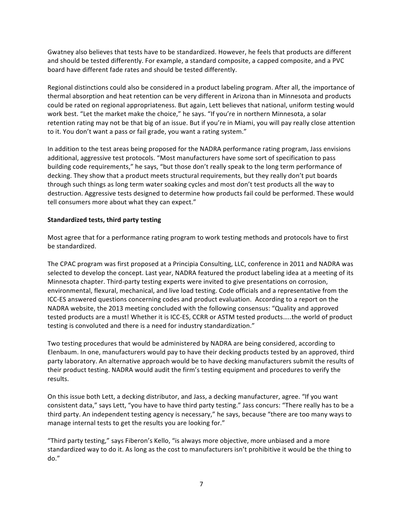Gwatney also believes that tests have to be standardized. However, he feels that products are different and should be tested differently. For example, a standard composite, a capped composite, and a PVC board have different fade rates and should be tested differently.

Regional distinctions could also be considered in a product labeling program. After all, the importance of thermal absorption and heat retention can be very different in Arizona than in Minnesota and products could be rated on regional appropriateness. But again, Lett believes that national, uniform testing would work best. "Let the market make the choice," he says. "If you're in northern Minnesota, a solar retention rating may not be that big of an issue. But if you're in Miami, you will pay really close attention to it. You don't want a pass or fail grade, you want a rating system."

In addition to the test areas being proposed for the NADRA performance rating program, Jass envisions additional, aggressive test protocols. "Most manufacturers have some sort of specification to pass building code requirements," he says, "but those don't really speak to the long term performance of decking. They show that a product meets structural requirements, but they really don't put boards through such things as long term water soaking cycles and most don't test products all the way to destruction. Aggressive tests designed to determine how products fail could be performed. These would tell consumers more about what they can expect."

# **Standardized tests, third party testing**

Most agree that for a performance rating program to work testing methods and protocols have to first be standardized.

The CPAC program was first proposed at a Principia Consulting, LLC, conference in 2011 and NADRA was selected to develop the concept. Last year, NADRA featured the product labeling idea at a meeting of its Minnesota chapter. Third-party testing experts were invited to give presentations on corrosion, environmental, flexural, mechanical, and live load testing. Code officials and a representative from the ICC-ES answered questions concerning codes and product evaluation. According to a report on the NADRA website, the 2013 meeting concluded with the following consensus: "Quality and approved tested products are a must! Whether it is ICC-ES, CCRR or ASTM tested products.....the world of product testing is convoluted and there is a need for industry standardization."

Two testing procedures that would be administered by NADRA are being considered, according to Elenbaum. In one, manufacturers would pay to have their decking products tested by an approved, third party laboratory. An alternative approach would be to have decking manufacturers submit the results of their product testing. NADRA would audit the firm's testing equipment and procedures to verify the results.

On this issue both Lett, a decking distributor, and Jass, a decking manufacturer, agree. "If you want consistent data," says Lett, "you have to have third party testing." Jass concurs: "There really has to be a third party. An independent testing agency is necessary," he says, because "there are too many ways to manage internal tests to get the results you are looking for."

"Third party testing," says Fiberon's Kello, "is always more objective, more unbiased and a more standardized way to do it. As long as the cost to manufacturers isn't prohibitive it would be the thing to do."